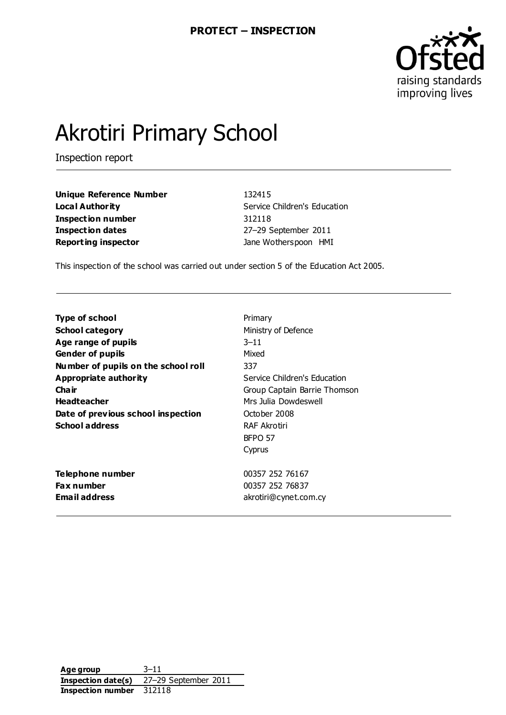

# Akrotiri Primary School

Inspection report

**Unique Reference Number** 132415 **Local Authority** Service Children's Education **Inspection number** 312118 **Inspection dates** 27–29 September 2011 **Reporting inspector Contracts Jane Wotherspoon HMI** 

This inspection of the school was carried out under section 5 of the Education Act 2005.

| Type of school                      | Primary                      |
|-------------------------------------|------------------------------|
| <b>School category</b>              | Ministry of Defence          |
| Age range of pupils                 | $3 - 11$                     |
| <b>Gender of pupils</b>             | Mixed                        |
| Number of pupils on the school roll | 337                          |
| <b>Appropriate authority</b>        | Service Children's Education |
| Cha ir                              | Group Captain Barrie Thomson |
| <b>Headteacher</b>                  | Mrs Julia Dowdeswell         |
| Date of previous school inspection  | October 2008                 |
| <b>School address</b>               | RAF Akrotiri                 |
|                                     | BFPO 57                      |
|                                     | Cyprus                       |
| Telephone number                    | 00357 252 76167              |
| <b>Fax number</b>                   | 00357 252 76837              |
| <b>Email address</b>                | akrotiri@cynet.com.cy        |

**Age group** 3–11 **Inspection date(s)** 27–29 September 2011 **Inspection number** 312118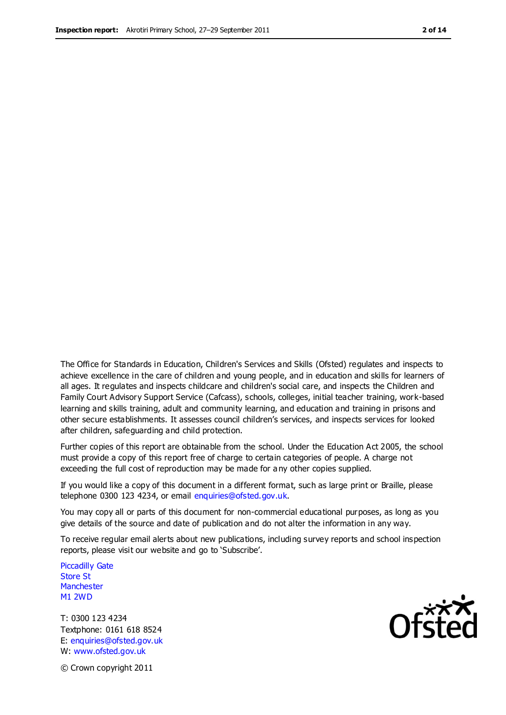The Office for Standards in Education, Children's Services and Skills (Ofsted) regulates and inspects to achieve excellence in the care of children and young people, and in education and skills for learners of all ages. It regulates and inspects childcare and children's social care, and inspects the Children and Family Court Advisory Support Service (Cafcass), schools, colleges, initial teacher training, work-based learning and skills training, adult and community learning, and education and training in prisons and other secure establishments. It assesses council children's services, and inspects services for looked after children, safeguarding and child protection.

Further copies of this report are obtainable from the school. Under the Education Act 2005, the school must provide a copy of this report free of charge to certain categories of people. A charge not exceeding the full cost of reproduction may be made for a ny other copies supplied.

If you would like a copy of this document in a different format, such as large print or Braille, please telephone 0300 123 4234, or email enquiries@ofsted.gov.uk.

You may copy all or parts of this document for non-commercial educational purposes, as long as you give details of the source and date of publication and do not alter the information in any way.

To receive regular email alerts about new publications, including survey reports and school inspection reports, please visit our website and go to 'Subscribe'.

Piccadilly Gate Store St **Manchester** M1 2WD

T: 0300 123 4234 Textphone: 0161 618 8524 E: enquiries@ofsted.gov.uk W: www.ofsted.gov.uk

**Ofsted** 

© Crown copyright 2011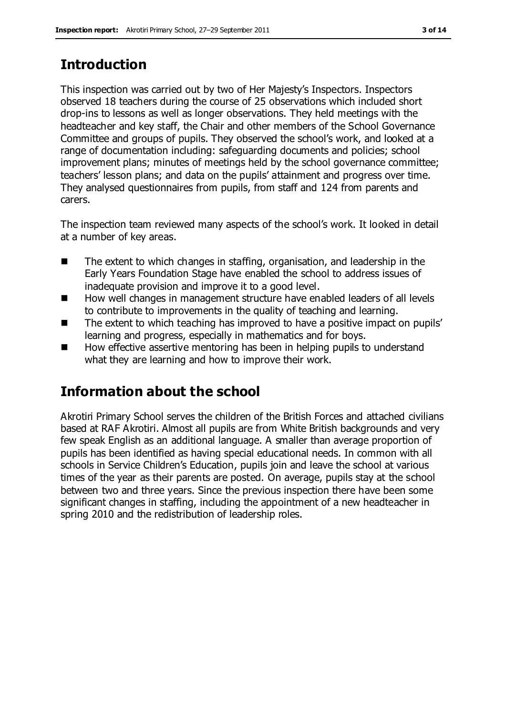# **Introduction**

This inspection was carried out by two of Her Majesty's Inspectors. Inspectors observed 18 teachers during the course of 25 observations which included short drop-ins to lessons as well as longer observations. They held meetings with the headteacher and key staff, the Chair and other members of the School Governance Committee and groups of pupils. They observed the school's work, and looked at a range of documentation including: safeguarding documents and policies; school improvement plans; minutes of meetings held by the school governance committee; teachers' lesson plans; and data on the pupils' attainment and progress over time. They analysed questionnaires from pupils, from staff and 124 from parents and carers.

The inspection team reviewed many aspects of the school's work. It looked in detail at a number of key areas.

- The extent to which changes in staffing, organisation, and leadership in the Early Years Foundation Stage have enabled the school to address issues of inadequate provision and improve it to a good level.
- How well changes in management structure have enabled leaders of all levels to contribute to improvements in the quality of teaching and learning.
- The extent to which teaching has improved to have a positive impact on pupils' learning and progress, especially in mathematics and for boys.
- How effective assertive mentoring has been in helping pupils to understand what they are learning and how to improve their work.

# **Information about the school**

Akrotiri Primary School serves the children of the British Forces and attached civilians based at RAF Akrotiri. Almost all pupils are from White British backgrounds and very few speak English as an additional language. A smaller than average proportion of pupils has been identified as having special educational needs. In common with all schools in Service Children's Education, pupils join and leave the school at various times of the year as their parents are posted. On average, pupils stay at the school between two and three years. Since the previous inspection there have been some significant changes in staffing, including the appointment of a new headteacher in spring 2010 and the redistribution of leadership roles.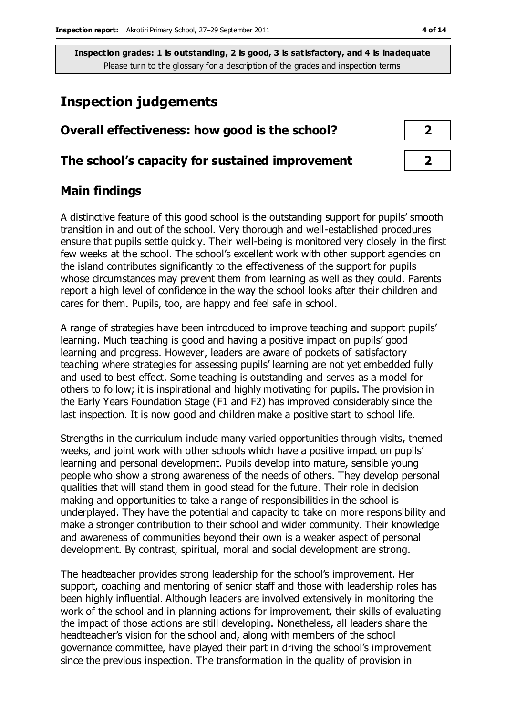## **Inspection judgements**

| Overall effectiveness: how good is the school?  |  |
|-------------------------------------------------|--|
| The school's capacity for sustained improvement |  |

## **Main findings**

A distinctive feature of this good school is the outstanding support for pupils' smooth transition in and out of the school. Very thorough and well-established procedures ensure that pupils settle quickly. Their well-being is monitored very closely in the first few weeks at the school. The school's excellent work with other support agencies on the island contributes significantly to the effectiveness of the support for pupils whose circumstances may prevent them from learning as well as they could. Parents report a high level of confidence in the way the school looks after their children and cares for them. Pupils, too, are happy and feel safe in school.

A range of strategies have been introduced to improve teaching and support pupils' learning. Much teaching is good and having a positive impact on pupils' good learning and progress. However, leaders are aware of pockets of satisfactory teaching where strategies for assessing pupils' learning are not yet embedded fully and used to best effect. Some teaching is outstanding and serves as a model for others to follow; it is inspirational and highly motivating for pupils. The provision in the Early Years Foundation Stage (F1 and F2) has improved considerably since the last inspection. It is now good and children make a positive start to school life.

Strengths in the curriculum include many varied opportunities through visits, themed weeks, and joint work with other schools which have a positive impact on pupils' learning and personal development. Pupils develop into mature, sensible young people who show a strong awareness of the needs of others. They develop personal qualities that will stand them in good stead for the future. Their role in decision making and opportunities to take a range of responsibilities in the school is underplayed. They have the potential and capacity to take on more responsibility and make a stronger contribution to their school and wider community. Their knowledge and awareness of communities beyond their own is a weaker aspect of personal development. By contrast, spiritual, moral and social development are strong.

The headteacher provides strong leadership for the school's improvement. Her support, coaching and mentoring of senior staff and those with leadership roles has been highly influential. Although leaders are involved extensively in monitoring the work of the school and in planning actions for improvement, their skills of evaluating the impact of those actions are still developing. Nonetheless, all leaders share the headteacher's vision for the school and, along with members of the school governance committee, have played their part in driving the school's improvement since the previous inspection. The transformation in the quality of provision in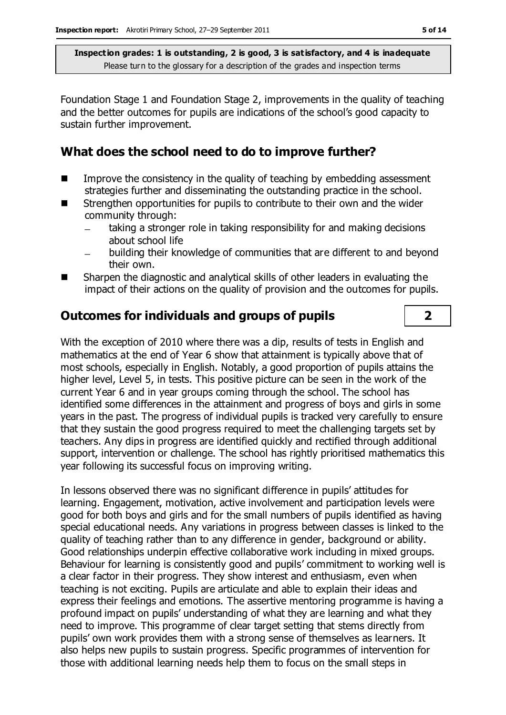Foundation Stage 1 and Foundation Stage 2, improvements in the quality of teaching and the better outcomes for pupils are indications of the school's good capacity to sustain further improvement.

## **What does the school need to do to improve further?**

- $\blacksquare$  Improve the consistency in the quality of teaching by embedding assessment strategies further and disseminating the outstanding practice in the school.
- Strengthen opportunities for pupils to contribute to their own and the wider community through:
	- taking a stronger role in taking responsibility for and making decisions about school life
	- building their knowledge of communities that are different to and beyond their own.
- Sharpen the diagnostic and analytical skills of other leaders in evaluating the impact of their actions on the quality of provision and the outcomes for pupils.

## **Outcomes for individuals and groups of pupils 2**

With the exception of 2010 where there was a dip, results of tests in English and mathematics at the end of Year 6 show that attainment is typically above that of most schools, especially in English. Notably, a good proportion of pupils attains the higher level, Level 5, in tests. This positive picture can be seen in the work of the current Year 6 and in year groups coming through the school. The school has identified some differences in the attainment and progress of boys and girls in some years in the past. The progress of individual pupils is tracked very carefully to ensure that they sustain the good progress required to meet the challenging targets set by teachers. Any dips in progress are identified quickly and rectified through additional support, intervention or challenge. The school has rightly prioritised mathematics this year following its successful focus on improving writing.

In lessons observed there was no significant difference in pupils' attitudes for learning. Engagement, motivation, active involvement and participation levels were good for both boys and girls and for the small numbers of pupils identified as having special educational needs. Any variations in progress between classes is linked to the quality of teaching rather than to any difference in gender, background or ability. Good relationships underpin effective collaborative work including in mixed groups. Behaviour for learning is consistently good and pupils' commitment to working well is a clear factor in their progress. They show interest and enthusiasm, even when teaching is not exciting. Pupils are articulate and able to explain their ideas and express their feelings and emotions. The assertive mentoring programme is having a profound impact on pupils' understanding of what they are learning and what they need to improve. This programme of clear target setting that stems directly from pupils' own work provides them with a strong sense of themselves as learners. It also helps new pupils to sustain progress. Specific programmes of intervention for those with additional learning needs help them to focus on the small steps in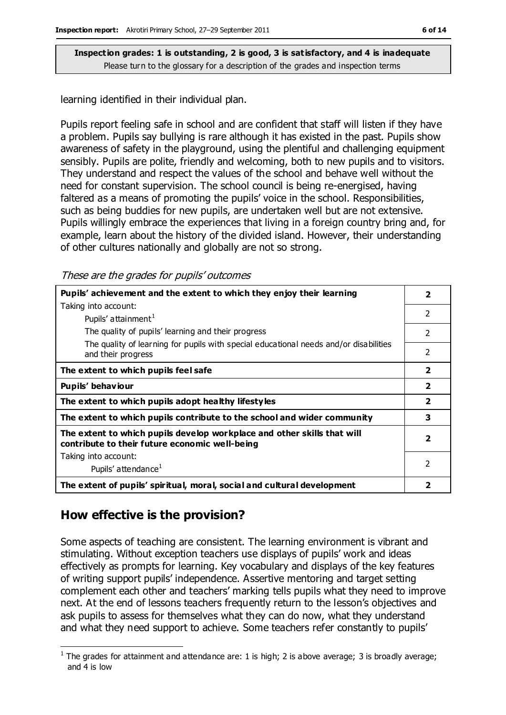learning identified in their individual plan.

Pupils report feeling safe in school and are confident that staff will listen if they have a problem. Pupils say bullying is rare although it has existed in the past. Pupils show awareness of safety in the playground, using the plentiful and challenging equipment sensibly. Pupils are polite, friendly and welcoming, both to new pupils and to visitors. They understand and respect the values of the school and behave well without the need for constant supervision. The school council is being re-energised, having faltered as a means of promoting the pupils' voice in the school. Responsibilities, such as being buddies for new pupils, are undertaken well but are not extensive. Pupils willingly embrace the experiences that living in a foreign country bring and, for example, learn about the history of the divided island. However, their understanding of other cultures nationally and globally are not so strong.

These are the grades for pupils' outcomes

| Pupils' achievement and the extent to which they enjoy their learning                                                     | $\overline{\mathbf{2}}$  |
|---------------------------------------------------------------------------------------------------------------------------|--------------------------|
| Taking into account:                                                                                                      | $\mathfrak{p}$           |
| Pupils' attainment <sup>1</sup>                                                                                           |                          |
| The quality of pupils' learning and their progress                                                                        | $\mathcal{P}$            |
| The quality of learning for pupils with special educational needs and/or disabilities<br>and their progress               | $\overline{2}$           |
| The extent to which pupils feel safe                                                                                      | $\overline{2}$           |
| Pupils' behaviour                                                                                                         | $\overline{\mathbf{2}}$  |
| The extent to which pupils adopt healthy lifestyles                                                                       | $\overline{2}$           |
| The extent to which pupils contribute to the school and wider community                                                   | 3                        |
| The extent to which pupils develop workplace and other skills that will<br>contribute to their future economic well-being | $\overline{\phantom{a}}$ |
| Taking into account:                                                                                                      |                          |
| Pupils' attendance <sup>1</sup>                                                                                           | $\mathfrak{p}$           |
| The extent of pupils' spiritual, moral, social and cultural development                                                   | 2                        |

## **How effective is the provision?**

Some aspects of teaching are consistent. The learning environment is vibrant and stimulating. Without exception teachers use displays of pupils' work and ideas effectively as prompts for learning. Key vocabulary and displays of the key features of writing support pupils' independence. Assertive mentoring and target setting complement each other and teachers' marking tells pupils what they need to improve next. At the end of lessons teachers frequently return to the lesson's objectives and ask pupils to assess for themselves what they can do now, what they understand and what they need support to achieve. Some teachers refer constantly to pupils'

 $\overline{a}$ <sup>1</sup> The grades for attainment and attendance are: 1 is high; 2 is above average; 3 is broadly average; and 4 is low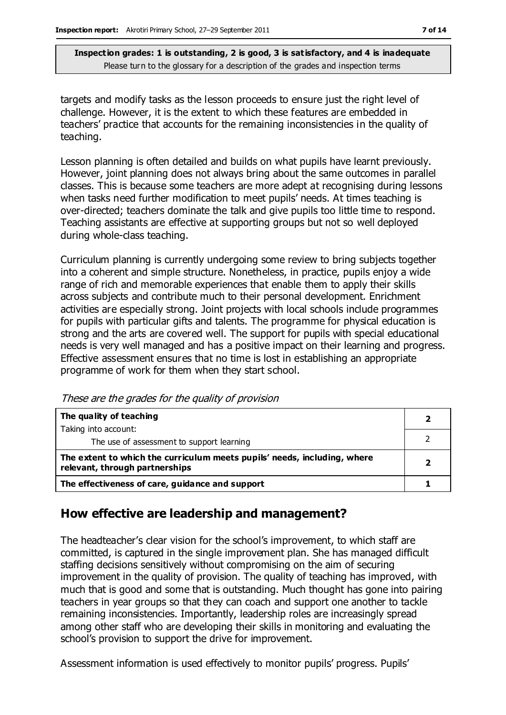targets and modify tasks as the lesson proceeds to ensure just the right level of challenge. However, it is the extent to which these features are embedded in teachers' practice that accounts for the remaining inconsistencies in the quality of teaching.

Lesson planning is often detailed and builds on what pupils have learnt previously. However, joint planning does not always bring about the same outcomes in parallel classes. This is because some teachers are more adept at recognising during lessons when tasks need further modification to meet pupils' needs. At times teaching is over-directed; teachers dominate the talk and give pupils too little time to respond. Teaching assistants are effective at supporting groups but not so well deployed during whole-class teaching.

Curriculum planning is currently undergoing some review to bring subjects together into a coherent and simple structure. Nonetheless, in practice, pupils enjoy a wide range of rich and memorable experiences that enable them to apply their skills across subjects and contribute much to their personal development. Enrichment activities are especially strong. Joint projects with local schools include programmes for pupils with particular gifts and talents. The programme for physical education is strong and the arts are covered well. The support for pupils with special educational needs is very well managed and has a positive impact on their learning and progress. Effective assessment ensures that no time is lost in establishing an appropriate programme of work for them when they start school.

These are the grades for the quality of provision

| The quality of teaching                                                                                    |  |
|------------------------------------------------------------------------------------------------------------|--|
| Taking into account:                                                                                       |  |
| The use of assessment to support learning                                                                  |  |
| The extent to which the curriculum meets pupils' needs, including, where<br>relevant, through partnerships |  |
| The effectiveness of care, guidance and support                                                            |  |

## **How effective are leadership and management?**

The headteacher's clear vision for the school's improvement, to which staff are committed, is captured in the single improvement plan. She has managed difficult staffing decisions sensitively without compromising on the aim of securing improvement in the quality of provision. The quality of teaching has improved, with much that is good and some that is outstanding. Much thought has gone into pairing teachers in year groups so that they can coach and support one another to tackle remaining inconsistencies. Importantly, leadership roles are increasingly spread among other staff who are developing their skills in monitoring and evaluating the school's provision to support the drive for improvement.

Assessment information is used effectively to monitor pupils' progress. Pupils'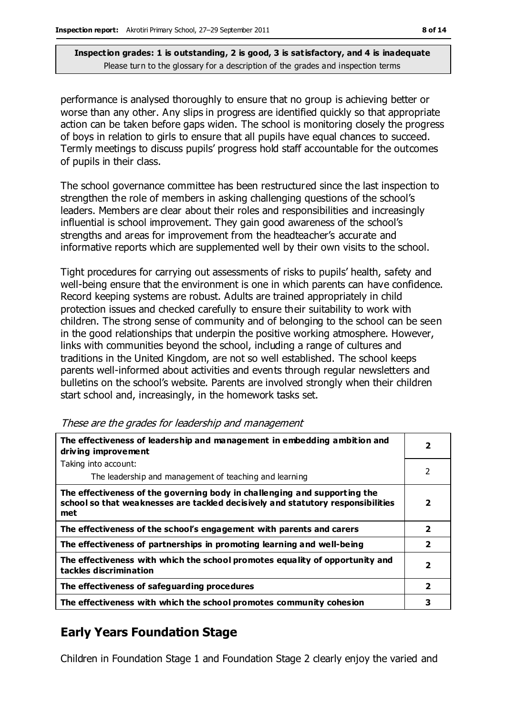performance is analysed thoroughly to ensure that no group is achieving better or worse than any other. Any slips in progress are identified quickly so that appropriate action can be taken before gaps widen. The school is monitoring closely the progress of boys in relation to girls to ensure that all pupils have equal chances to succeed. Termly meetings to discuss pupils' progress hold staff accountable for the outcomes of pupils in their class.

The school governance committee has been restructured since the last inspection to strengthen the role of members in asking challenging questions of the school's leaders. Members are clear about their roles and responsibilities and increasingly influential is school improvement. They gain good awareness of the school's strengths and areas for improvement from the headteacher's accurate and informative reports which are supplemented well by their own visits to the school.

Tight procedures for carrying out assessments of risks to pupils' health, safety and well-being ensure that the environment is one in which parents can have confidence. Record keeping systems are robust. Adults are trained appropriately in child protection issues and checked carefully to ensure their suitability to work with children. The strong sense of community and of belonging to the school can be seen in the good relationships that underpin the positive working atmosphere. However, links with communities beyond the school, including a range of cultures and traditions in the United Kingdom, are not so well established. The school keeps parents well-informed about activities and events through regular newsletters and bulletins on the school's website. Parents are involved strongly when their children start school and, increasingly, in the homework tasks set.

| The effectiveness of leadership and management in embedding ambition and<br>driving improvement                                                                     | 2                       |
|---------------------------------------------------------------------------------------------------------------------------------------------------------------------|-------------------------|
| Taking into account:                                                                                                                                                |                         |
| The leadership and management of teaching and learning                                                                                                              | 2                       |
| The effectiveness of the governing body in challenging and supporting the<br>school so that weaknesses are tackled decisively and statutory responsibilities<br>met | 2                       |
| The effectiveness of the school's engagement with parents and carers                                                                                                | $\overline{2}$          |
| The effectiveness of partnerships in promoting learning and well-being                                                                                              | $\overline{2}$          |
| The effectiveness with which the school promotes equality of opportunity and<br>tackles discrimination                                                              | $\overline{\mathbf{2}}$ |
| The effectiveness of safeguarding procedures                                                                                                                        | $\overline{\mathbf{2}}$ |
| The effectiveness with which the school promotes community cohesion                                                                                                 | 3                       |

|  |  |  | These are the grades for leadership and management |
|--|--|--|----------------------------------------------------|
|  |  |  |                                                    |
|  |  |  |                                                    |

## **Early Years Foundation Stage**

Children in Foundation Stage 1 and Foundation Stage 2 clearly enjoy the varied and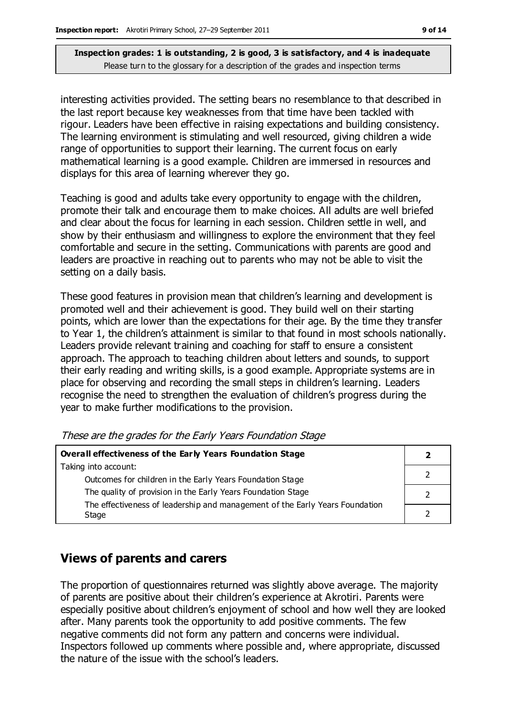interesting activities provided. The setting bears no resemblance to that described in the last report because key weaknesses from that time have been tackled with rigour. Leaders have been effective in raising expectations and building consistency. The learning environment is stimulating and well resourced, giving children a wide range of opportunities to support their learning. The current focus on early mathematical learning is a good example. Children are immersed in resources and displays for this area of learning wherever they go.

Teaching is good and adults take every opportunity to engage with the children, promote their talk and encourage them to make choices. All adults are well briefed and clear about the focus for learning in each session. Children settle in well, and show by their enthusiasm and willingness to explore the environment that they feel comfortable and secure in the setting. Communications with parents are good and leaders are proactive in reaching out to parents who may not be able to visit the setting on a daily basis.

These good features in provision mean that children's learning and development is promoted well and their achievement is good. They build well on their starting points, which are lower than the expectations for their age. By the time they transfer to Year 1, the children's attainment is similar to that found in most schools nationally. Leaders provide relevant training and coaching for staff to ensure a consistent approach. The approach to teaching children about letters and sounds, to support their early reading and writing skills, is a good example. Appropriate systems are in place for observing and recording the small steps in children's learning. Leaders recognise the need to strengthen the evaluation of children's progress during the year to make further modifications to the provision.

| Overall effectiveness of the Early Years Foundation Stage                    |  |
|------------------------------------------------------------------------------|--|
| Taking into account:                                                         |  |
| Outcomes for children in the Early Years Foundation Stage                    |  |
| The quality of provision in the Early Years Foundation Stage                 |  |
| The effectiveness of leadership and management of the Early Years Foundation |  |
| Stage                                                                        |  |

These are the grades for the Early Years Foundation Stage

### **Views of parents and carers**

The proportion of questionnaires returned was slightly above average. The majority of parents are positive about their children's experience at Akrotiri. Parents were especially positive about children's enjoyment of school and how well they are looked after. Many parents took the opportunity to add positive comments. The few negative comments did not form any pattern and concerns were individual. Inspectors followed up comments where possible and, where appropriate, discussed the nature of the issue with the school's leaders.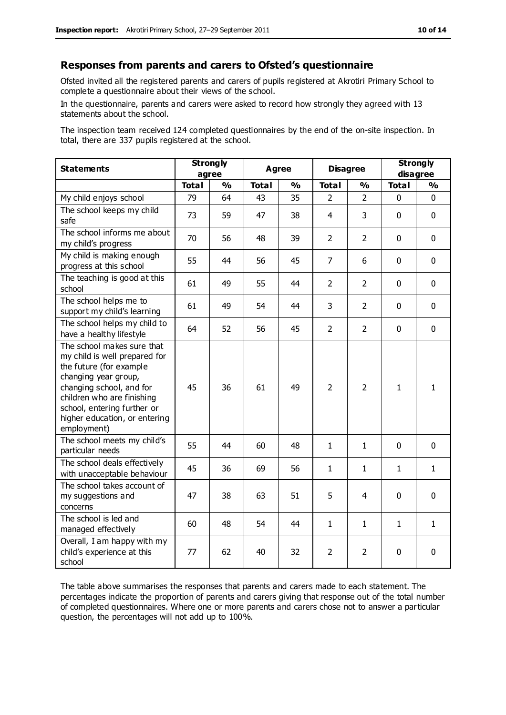#### **Responses from parents and carers to Ofsted's questionnaire**

Ofsted invited all the registered parents and carers of pupils registered at Akrotiri Primary School to complete a questionnaire about their views of the school.

In the questionnaire, parents and carers were asked to record how strongly they agreed with 13 statements about the school.

The inspection team received 124 completed questionnaires by the end of the on-site inspection. In total, there are 337 pupils registered at the school.

| <b>Statements</b>                                                                                                                                                                                                                                       | <b>Strongly</b><br>agree |               | <b>Agree</b> |               | <b>Disagree</b> |                | <b>Strongly</b><br>disagree |               |
|---------------------------------------------------------------------------------------------------------------------------------------------------------------------------------------------------------------------------------------------------------|--------------------------|---------------|--------------|---------------|-----------------|----------------|-----------------------------|---------------|
|                                                                                                                                                                                                                                                         | <b>Total</b>             | $\frac{1}{2}$ | <b>Total</b> | $\frac{1}{2}$ | <b>Total</b>    | $\frac{1}{2}$  | <b>Total</b>                | $\frac{1}{2}$ |
| My child enjoys school                                                                                                                                                                                                                                  | 79                       | 64            | 43           | 35            | 2               | $\overline{2}$ | $\mathbf 0$                 | $\mathbf 0$   |
| The school keeps my child<br>safe                                                                                                                                                                                                                       | 73                       | 59            | 47           | 38            | 4               | 3              | $\mathbf 0$                 | $\mathbf 0$   |
| The school informs me about<br>my child's progress                                                                                                                                                                                                      | 70                       | 56            | 48           | 39            | $\overline{2}$  | $\overline{2}$ | $\mathbf 0$                 | $\mathbf 0$   |
| My child is making enough<br>progress at this school                                                                                                                                                                                                    | 55                       | 44            | 56           | 45            | $\overline{7}$  | 6              | $\mathbf 0$                 | $\mathbf 0$   |
| The teaching is good at this<br>school                                                                                                                                                                                                                  | 61                       | 49            | 55           | 44            | $\overline{2}$  | $\overline{2}$ | $\mathbf 0$                 | $\mathbf 0$   |
| The school helps me to<br>support my child's learning                                                                                                                                                                                                   | 61                       | 49            | 54           | 44            | 3               | $\overline{2}$ | $\Omega$                    | $\mathbf 0$   |
| The school helps my child to<br>have a healthy lifestyle                                                                                                                                                                                                | 64                       | 52            | 56           | 45            | $\overline{2}$  | $\overline{2}$ | $\mathbf 0$                 | $\mathbf 0$   |
| The school makes sure that<br>my child is well prepared for<br>the future (for example<br>changing year group,<br>changing school, and for<br>children who are finishing<br>school, entering further or<br>higher education, or entering<br>employment) | 45                       | 36            | 61           | 49            | $\overline{2}$  | $\overline{2}$ | $\mathbf{1}$                | $\mathbf{1}$  |
| The school meets my child's<br>particular needs                                                                                                                                                                                                         | 55                       | 44            | 60           | 48            | $\mathbf{1}$    | $\mathbf{1}$   | $\mathbf 0$                 | $\mathbf 0$   |
| The school deals effectively<br>with unacceptable behaviour                                                                                                                                                                                             | 45                       | 36            | 69           | 56            | 1               | 1              | 1                           | $\mathbf{1}$  |
| The school takes account of<br>my suggestions and<br>concerns                                                                                                                                                                                           | 47                       | 38            | 63           | 51            | 5               | 4              | $\mathbf 0$                 | $\mathbf 0$   |
| The school is led and<br>managed effectively                                                                                                                                                                                                            | 60                       | 48            | 54           | 44            | $\mathbf{1}$    | 1              | $\mathbf{1}$                | $\mathbf{1}$  |
| Overall, I am happy with my<br>child's experience at this<br>school                                                                                                                                                                                     | 77                       | 62            | 40           | 32            | 2               | 2              | $\mathbf 0$                 | $\mathbf 0$   |

The table above summarises the responses that parents and carers made to each statement. The percentages indicate the proportion of parents and carers giving that response out of the total number of completed questionnaires. Where one or more parents and carers chose not to answer a particular question, the percentages will not add up to 100%.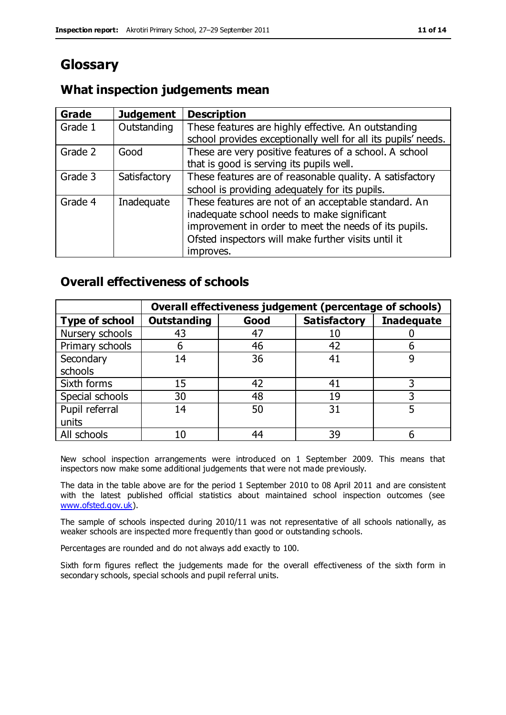# **Glossary**

## **What inspection judgements mean**

| Grade   | <b>Judgement</b> | <b>Description</b>                                                                                                   |
|---------|------------------|----------------------------------------------------------------------------------------------------------------------|
| Grade 1 | Outstanding      | These features are highly effective. An outstanding<br>school provides exceptionally well for all its pupils' needs. |
|         |                  |                                                                                                                      |
| Grade 2 | Good             | These are very positive features of a school. A school                                                               |
|         |                  | that is good is serving its pupils well.                                                                             |
| Grade 3 | Satisfactory     | These features are of reasonable quality. A satisfactory                                                             |
|         |                  | school is providing adequately for its pupils.                                                                       |
| Grade 4 | Inadequate       | These features are not of an acceptable standard. An                                                                 |
|         |                  | inadequate school needs to make significant                                                                          |
|         |                  | improvement in order to meet the needs of its pupils.                                                                |
|         |                  | Ofsted inspectors will make further visits until it                                                                  |
|         |                  | improves.                                                                                                            |

## **Overall effectiveness of schools**

|                       | Overall effectiveness judgement (percentage of schools) |      |                     |                   |
|-----------------------|---------------------------------------------------------|------|---------------------|-------------------|
| <b>Type of school</b> | <b>Outstanding</b>                                      | Good | <b>Satisfactory</b> | <b>Inadequate</b> |
| Nursery schools       | 43                                                      | 47   |                     |                   |
| Primary schools       | h                                                       | 46   | 42                  |                   |
| Secondary             | 14                                                      | 36   | 41                  |                   |
| schools               |                                                         |      |                     |                   |
| Sixth forms           | 15                                                      | 42   | 41                  | 3                 |
| Special schools       | 30                                                      | 48   | 19                  |                   |
| Pupil referral        | 14                                                      | 50   | 31                  |                   |
| units                 |                                                         |      |                     |                   |
| All schools           | 10                                                      | 44   | 39                  |                   |

New school inspection arrangements were introduced on 1 September 2009. This means that inspectors now make some additional judgements that were not made previously.

The data in the table above are for the period 1 September 2010 to 08 April 2011 and are consistent with the latest published official statistics about maintained school inspection outcomes (see [www.ofsted.gov.uk\)](http://www.ofsted.gov.uk/).

The sample of schools inspected during 2010/11 was not representative of all schools nationally, as weaker schools are inspected more frequently than good or outstanding schools.

Percentages are rounded and do not always add exactly to 100.

Sixth form figures reflect the judgements made for the overall effectiveness of the sixth form in secondary schools, special schools and pupil referral units.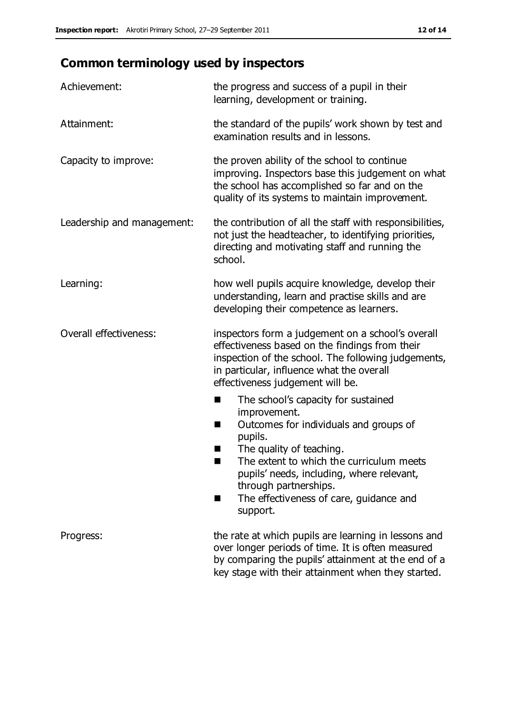# **Common terminology used by inspectors**

| Achievement:               | the progress and success of a pupil in their<br>learning, development or training.                                                                                                                                                                                                                                             |
|----------------------------|--------------------------------------------------------------------------------------------------------------------------------------------------------------------------------------------------------------------------------------------------------------------------------------------------------------------------------|
| Attainment:                | the standard of the pupils' work shown by test and<br>examination results and in lessons.                                                                                                                                                                                                                                      |
| Capacity to improve:       | the proven ability of the school to continue<br>improving. Inspectors base this judgement on what<br>the school has accomplished so far and on the<br>quality of its systems to maintain improvement.                                                                                                                          |
| Leadership and management: | the contribution of all the staff with responsibilities,<br>not just the headteacher, to identifying priorities,<br>directing and motivating staff and running the<br>school.                                                                                                                                                  |
| Learning:                  | how well pupils acquire knowledge, develop their<br>understanding, learn and practise skills and are<br>developing their competence as learners.                                                                                                                                                                               |
| Overall effectiveness:     | inspectors form a judgement on a school's overall<br>effectiveness based on the findings from their<br>inspection of the school. The following judgements,<br>in particular, influence what the overall<br>effectiveness judgement will be.                                                                                    |
|                            | The school's capacity for sustained<br>improvement.<br>Outcomes for individuals and groups of<br>ш<br>pupils.<br>The quality of teaching.<br>The extent to which the curriculum meets<br>a s<br>pupils' needs, including, where relevant,<br>through partnerships.<br>The effectiveness of care, guidance and<br>■<br>support. |
| Progress:                  | the rate at which pupils are learning in lessons and<br>over longer periods of time. It is often measured<br>by comparing the pupils' attainment at the end of a<br>key stage with their attainment when they started.                                                                                                         |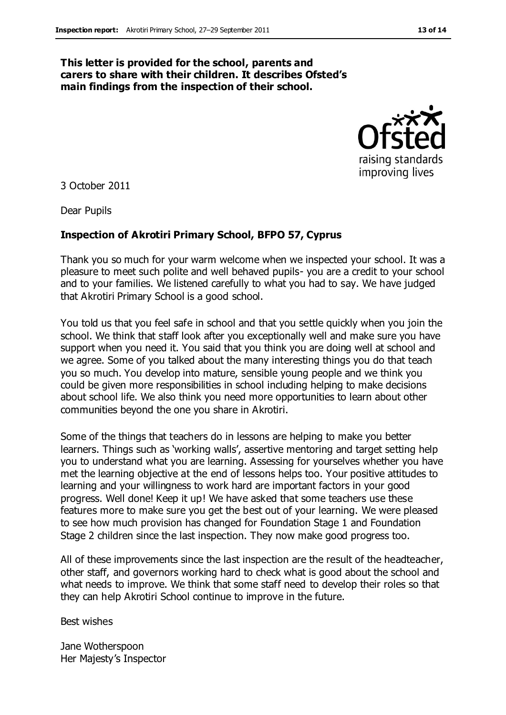#### **This letter is provided for the school, parents and carers to share with their children. It describes Ofsted's main findings from the inspection of their school.**



3 October 2011

Dear Pupils

#### **Inspection of Akrotiri Primary School, BFPO 57, Cyprus**

Thank you so much for your warm welcome when we inspected your school. It was a pleasure to meet such polite and well behaved pupils- you are a credit to your school and to your families. We listened carefully to what you had to say. We have judged that Akrotiri Primary School is a good school.

You told us that you feel safe in school and that you settle quickly when you join the school. We think that staff look after you exceptionally well and make sure you have support when you need it. You said that you think you are doing well at school and we agree. Some of you talked about the many interesting things you do that teach you so much. You develop into mature, sensible young people and we think you could be given more responsibilities in school including helping to make decisions about school life. We also think you need more opportunities to learn about other communities beyond the one you share in Akrotiri.

Some of the things that teachers do in lessons are helping to make you better learners. Things such as 'working walls', assertive mentoring and target setting help you to understand what you are learning. Assessing for yourselves whether you have met the learning objective at the end of lessons helps too. Your positive attitudes to learning and your willingness to work hard are important factors in your good progress. Well done! Keep it up! We have asked that some teachers use these features more to make sure you get the best out of your learning. We were pleased to see how much provision has changed for Foundation Stage 1 and Foundation Stage 2 children since the last inspection. They now make good progress too.

All of these improvements since the last inspection are the result of the headteacher, other staff, and governors working hard to check what is good about the school and what needs to improve. We think that some staff need to develop their roles so that they can help Akrotiri School continue to improve in the future.

Best wishes

Jane Wotherspoon Her Majesty's Inspector